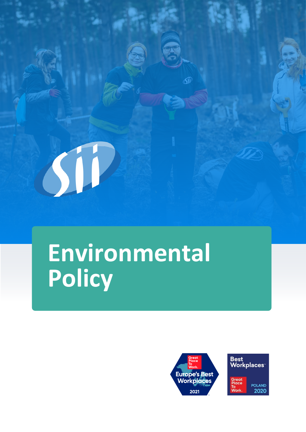## **Environmental Policy**



SP

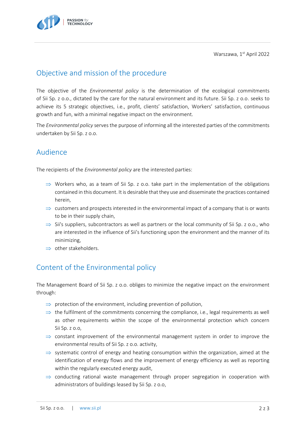Warszawa, 1st April 2022



## Objective and mission of the procedure

The objective of the *Environmental policy* is the determination of the ecological commitments of Sii Sp. z o.o., dictated by the care for the natural environment and its future. Sii Sp. z o.o. seeks to achieve its 5 strategic objectives, i.e., profit, clients' satisfaction, Workers' satisfaction, continuous growth and fun, with a minimal negative impact on the environment.

The *Environmental policy* serves the purpose of informing all the interested parties of the commitments undertaken by Sii Sp. z o.o.

## Audience

The recipients of the *Environmental policy* are the interested parties:

- $\Rightarrow$  Workers who, as a team of Sii Sp. z o.o. take part in the implementation of the obligations contained in this document. It is desirable that they use and disseminate the practices contained herein,
- $\Rightarrow$  customers and prospects interested in the environmental impact of a company that is or wants to be in their supply chain,
- $\Rightarrow$  Sii's suppliers, subcontractors as well as partners or the local community of Sii Sp. z o.o., who are interested in the influence of Sii's functioning upon the environment and the manner of its minimizing,
- $\Rightarrow$  other stakeholders.

## Content of the Environmental policy

The Management Board of Sii Sp. z o.o. obliges to minimize the negative impact on the environment through:

- $\Rightarrow$  protection of the environment, including prevention of pollution,
- $\Rightarrow$  the fulfilment of the commitments concerning the compliance, i.e., legal requirements as well as other requirements within the scope of the environmental protection which concern Sii Sp. z o.o,
- $\Rightarrow$  constant improvement of the environmental management system in order to improve the environmental results of Sii Sp. z o.o. activity,
- $\Rightarrow$  systematic control of energy and heating consumption within the organization, aimed at the identification of energy flows and the improvement of energy efficiency as well as reporting within the regularly executed energy audit,
- $\Rightarrow$  conducting rational waste management through proper segregation in cooperation with administrators of buildings leased by Sii Sp. z o.o,